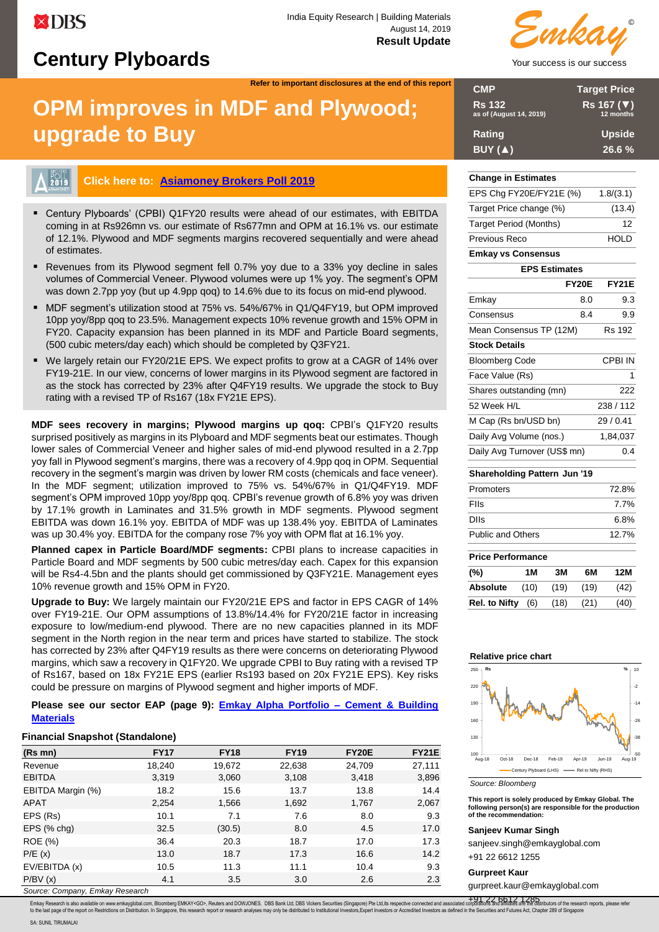# **Century Plyboards**

**Refer to important disclosures at the end of this report**

# **OPM improves in MDF and Plywood; upgrade to Buy**



# **Click here to: [Asiamoney Brokers Poll 2019](https://surveys.euromoney.com/s3/Asiamoney-Brokers-Poll-2019)**

- Century Plyboards' (CPBI) Q1FY20 results were ahead of our estimates, with EBITDA coming in at Rs926mn vs. our estimate of Rs677mn and OPM at 16.1% vs. our estimate of 12.1%. Plywood and MDF segments margins recovered sequentially and were ahead of estimates.
- Revenues from its Plywood segment fell 0.7% yoy due to a 33% yoy decline in sales volumes of Commercial Veneer. Plywood volumes were up 1% yoy. The segment's OPM was down 2.7pp yoy (but up 4.9pp qoq) to 14.6% due to its focus on mid-end plywood.
- MDF segment's utilization stood at 75% vs. 54%/67% in Q1/Q4FY19, but OPM improved 10pp yoy/8pp qoq to 23.5%. Management expects 10% revenue growth and 15% OPM in FY20. Capacity expansion has been planned in its MDF and Particle Board segments, (500 cubic meters/day each) which should be completed by Q3FY21.
- We largely retain our FY20/21E EPS. We expect profits to grow at a CAGR of 14% over FY19-21E. In our view, concerns of lower margins in its Plywood segment are factored in as the stock has corrected by 23% after Q4FY19 results. We upgrade the stock to Buy rating with a revised TP of Rs167 (18x FY21E EPS).

**MDF sees recovery in margins; Plywood margins up qoq:** CPBI's Q1FY20 results surprised positively as margins in its Plyboard and MDF segments beat our estimates. Though lower sales of Commercial Veneer and higher sales of mid-end plywood resulted in a 2.7pp yoy fall in Plywood segment's margins, there was a recovery of 4.9pp qoq in OPM. Sequential recovery in the segment's margin was driven by lower RM costs (chemicals and face veneer). In the MDF segment; utilization improved to 75% vs. 54%/67% in Q1/Q4FY19. MDF segment's OPM improved 10pp yoy/8pp qoq. CPBI's revenue growth of 6.8% yoy was driven by 17.1% growth in Laminates and 31.5% growth in MDF segments. Plywood segment EBITDA was down 16.1% yoy. EBITDA of MDF was up 138.4% yoy. EBITDA of Laminates was up 30.4% yoy. EBITDA for the company rose 7% yoy with OPM flat at 16.1% yoy.

**Planned capex in Particle Board/MDF segments:** CPBI plans to increase capacities in Particle Board and MDF segments by 500 cubic metres/day each. Capex for this expansion will be Rs4-4.5bn and the plants should get commissioned by Q3FY21E. Management eyes 10% revenue growth and 15% OPM in FY20.

**Upgrade to Buy:** We largely maintain our FY20/21E EPS and factor in EPS CAGR of 14% over FY19-21E. Our OPM assumptions of 13.8%/14.4% for FY20/21E factor in increasing exposure to low/medium-end plywood. There are no new capacities planned in its MDF segment in the North region in the near term and prices have started to stabilize. The stock has corrected by 23% after Q4FY19 results as there were concerns on deteriorating Plywood margins, which saw a recovery in Q1FY20. We upgrade CPBI to Buy rating with a revised TP of Rs167, based on 18x FY21E EPS (earlier Rs193 based on 20x FY21E EPS). Key risks could be pressure on margins of Plywood segment and higher imports of MDF.

**Please see our sector EAP (page 9): [Emkay Alpha Portfolio –](#page-8-0) Cement & Building [Materials](#page-8-0)**

#### **Financial Snapshot (Standalone)**

| $(Rs$ mn $)$      | <b>FY17</b> | <b>FY18</b> | <b>FY19</b> | FY20E  | <b>FY21E</b> |
|-------------------|-------------|-------------|-------------|--------|--------------|
| Revenue           | 18,240      | 19,672      | 22,638      | 24,709 | 27,111       |
| <b>EBITDA</b>     | 3,319       | 3,060       | 3,108       | 3,418  | 3,896        |
| EBITDA Margin (%) | 18.2        | 15.6        | 13.7        | 13.8   | 14.4         |
| <b>APAT</b>       | 2,254       | 1,566       | 1,692       | 1,767  | 2,067        |
| EPS (Rs)          | 10.1        | 7.1         | 7.6         | 8.0    | 9.3          |
| $EPS$ (% chg)     | 32.5        | (30.5)      | 8.0         | 4.5    | 17.0         |
| ROE (%)           | 36.4        | 20.3        | 18.7        | 17.0   | 17.3         |
| P/E(x)            | 13.0        | 18.7        | 17.3        | 16.6   | 14.2         |
| EV/EBITDA (x)     | 10.5        | 11.3        | 11.1        | 10.4   | 9.3          |
| P/BV(x)           | 4.1         | 3.5         | 3.0         | 2.6    | 2.3          |

*Source: Company, Emkay Research*



| <b>CMP</b>                               | <b>Target Price</b>     |
|------------------------------------------|-------------------------|
| <b>Rs 132</b><br>as of (August 14, 2019) | Rs 167 (▼)<br>12 months |
| Rating                                   | <b>Upside</b>           |
| BUY (A)                                  | 26.6 %                  |

## **Change in Estimates**

| EPS Chg FY20E/FY21E (%)             |              | 1.8/(3.1)     |
|-------------------------------------|--------------|---------------|
| Target Price change (%)             |              | (13.4)        |
| <b>Target Period (Months)</b>       |              | 12            |
| Previous Reco                       |              | <b>HOLD</b>   |
| <b>Emkay vs Consensus</b>           |              |               |
| <b>EPS Estimates</b>                |              |               |
|                                     | <b>FY20E</b> | <b>FY21E</b>  |
| Emkay                               | 8.0          | 9.3           |
| Consensus                           | 8.4          | 9.9           |
| Mean Consensus TP (12M)             |              | <b>Rs 192</b> |
| <b>Stock Details</b>                |              |               |
| <b>Bloomberg Code</b>               |              | CPBI IN       |
| Face Value (Rs)                     |              | 1             |
| Shares outstanding (mn)             |              | 222           |
| 52 Week H/L                         |              | 238 / 112     |
| M Cap (Rs bn/USD bn)                |              | 29/0.41       |
| Daily Avg Volume (nos.)             |              | 1,84,037      |
| Daily Avg Turnover (US\$ mn)        |              | 0.4           |
| <b>Shareholding Pattern Jun '19</b> |              |               |
| Promoters                           |              | 72.8%         |
| Flls                                |              | 7.7%          |
| <b>DIIs</b>                         |              | 6.8%          |
| Public and Others                   |              | 12.7%         |
| <b>Price Performance</b>            |              |               |
| (°)<br>ЗM<br>1 M                    | 6М           | 12M           |

| (%)                  | 1 M  | 3M   | 6М   | 12M  |
|----------------------|------|------|------|------|
| <b>Absolute</b>      | (10) | (19) | (19) | (42) |
| <b>Rel. to Nifty</b> | (6)  | (18) | (21) | (40) |

#### **Relative price chart**



*Source: Bloomberg*

**This report is solely produced by Emkay Global. The following person(s) are responsible for the production of the recommendation:**

#### **Sanjeev Kumar Singh**

sanjeev.singh@emkayglobal.com

+91 22 6612 1255

## **Gurpreet Kaur**

gurpreet.kaur@emkayglobal.com

Emkay Research is also available on www.emkayglobal.com, Bloomberg EMKAY<GO>, Reuters and DOWJONES. DBS Bank Ltd, DBS Vickers Securities (Singapore) Pte Ltd,its respective connected and associated compositions and alliali +91 22 6612 1285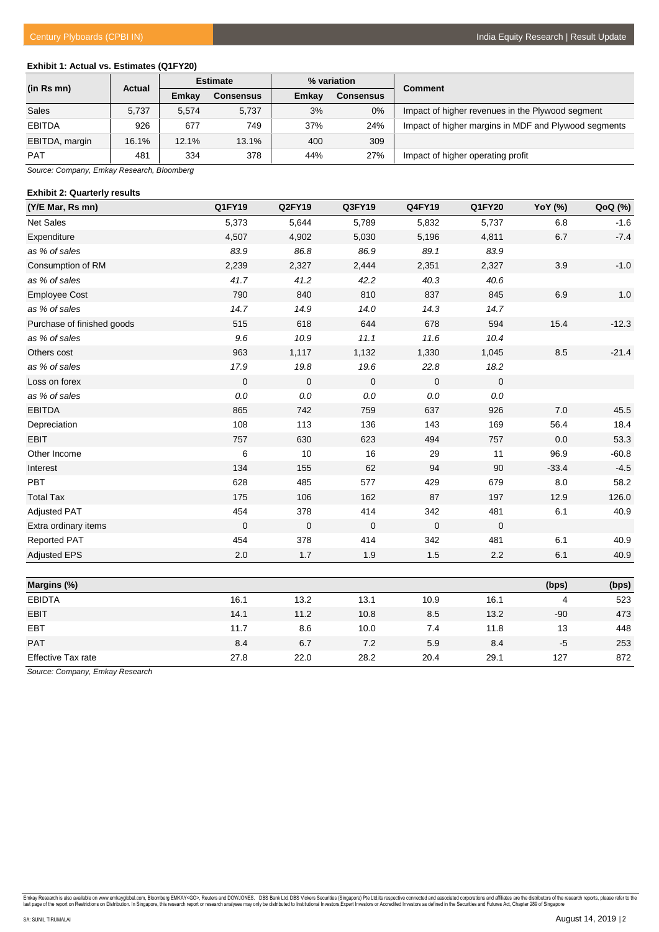# **Exhibit 1: Actual vs. Estimates (Q1FY20)**

| (in Rs mn)     | <b>Actual</b> | <b>Estimate</b> |           |       | % variation      | <b>Comment</b>                                       |  |
|----------------|---------------|-----------------|-----------|-------|------------------|------------------------------------------------------|--|
|                |               | Emkav           | Consensus | Emkay | <b>Consensus</b> |                                                      |  |
| Sales          | 5,737         | 5.574           | 5,737     | 3%    | $0\%$            | Impact of higher revenues in the Plywood segment     |  |
| <b>EBITDA</b>  | 926           | 677             | 749       | 37%   | 24%              | Impact of higher margins in MDF and Plywood segments |  |
| EBITDA, margin | 16.1%         | 12.1%           | 13.1%     | 400   | 309              |                                                      |  |
| <b>PAT</b>     | 481           | 334             | 378       | 44%   | 27%              | Impact of higher operating profit                    |  |

*Source: Company, Emkay Research, Bloomberg*

#### **Exhibit 2: Quarterly results**

| (Y/E Mar, Rs mn)           | Q1FY19      | Q2FY19              | Q3FY19         | Q4FY19      | Q1FY20      | YoY (%) | QoQ (%) |
|----------------------------|-------------|---------------------|----------------|-------------|-------------|---------|---------|
| Net Sales                  | 5,373       | 5,644               | 5,789          | 5,832       | 5,737       | 6.8     | $-1.6$  |
| Expenditure                | 4,507       | 4,902               | 5,030          | 5,196       | 4,811       | 6.7     | $-7.4$  |
| as % of sales              | 83.9        | 86.8                | 86.9           | 89.1        | 83.9        |         |         |
| Consumption of RM          | 2,239       | 2,327               | 2,444          | 2,351       | 2,327       | 3.9     | $-1.0$  |
| as % of sales              | 41.7        | 41.2                | 42.2           | 40.3        | 40.6        |         |         |
| <b>Employee Cost</b>       | 790         | 840                 | 810            | 837         | 845         | 6.9     | 1.0     |
| as % of sales              | 14.7        | 14.9                | 14.0           | 14.3        | 14.7        |         |         |
| Purchase of finished goods | 515         | 618                 | 644            | 678         | 594         | 15.4    | $-12.3$ |
| as % of sales              | 9.6         | 10.9                | 11.1           | 11.6        | 10.4        |         |         |
| Others cost                | 963         | 1,117               | 1,132          | 1,330       | 1,045       | 8.5     | $-21.4$ |
| as % of sales              | 17.9        | 19.8                | 19.6           | 22.8        | 18.2        |         |         |
| Loss on forex              | $\mathbf 0$ | $\mathbf 0$         | $\overline{0}$ | $\mathbf 0$ | $\mathbf 0$ |         |         |
| as % of sales              | $0.0\,$     | $0.0\,$             | $0.0\,$        | $0.0\,$     | $0.0\,$     |         |         |
| <b>EBITDA</b>              | 865         | 742                 | 759            | 637         | 926         | 7.0     | 45.5    |
| Depreciation               | 108         | 113                 | 136            | 143         | 169         | 56.4    | 18.4    |
| <b>EBIT</b>                | 757         | 630                 | 623            | 494         | 757         | 0.0     | 53.3    |
| Other Income               | 6           | 10                  | 16             | 29          | 11          | 96.9    | $-60.8$ |
| Interest                   | 134         | 155                 | 62             | 94          | 90          | $-33.4$ | $-4.5$  |
| PBT                        | 628         | 485                 | 577            | 429         | 679         | 8.0     | 58.2    |
| <b>Total Tax</b>           | 175         | 106                 | 162            | 87          | 197         | 12.9    | 126.0   |
| <b>Adjusted PAT</b>        | 454         | 378                 | 414            | 342         | 481         | 6.1     | 40.9    |
| Extra ordinary items       | $\mathbf 0$ | $\mathsf{O}\xspace$ | $\mathbf 0$    | $\mathbf 0$ | $\mathbf 0$ |         |         |
| <b>Reported PAT</b>        | 454         | 378                 | 414            | 342         | 481         | 6.1     | 40.9    |
| <b>Adjusted EPS</b>        | 2.0         | 1.7                 | 1.9            | 1.5         | 2.2         | 6.1     | 40.9    |
|                            |             |                     |                |             |             |         |         |
| Margins (%)                |             |                     |                |             |             | (bps)   | (bps)   |
| <b>EBIDTA</b>              | 16.1        | 13.2                | 13.1           | 10.9        | 16.1        | 4       | 523     |
| <b>EBIT</b>                | 14.1        | 11.2                | 10.8           | 8.5         | 13.2        | $-90$   | 473     |
| EBT                        | 11.7        | 8.6                 | 10.0           | 7.4         | 11.8        | 13      | 448     |
| PAT                        | 8.4         | 6.7                 | 7.2            | 5.9         | 8.4         | $-5$    | 253     |
| <b>Effective Tax rate</b>  | 27.8        | 22.0                | 28.2           | 20.4        | 29.1        | 127     | 872     |

*Source: Company, Emkay Research*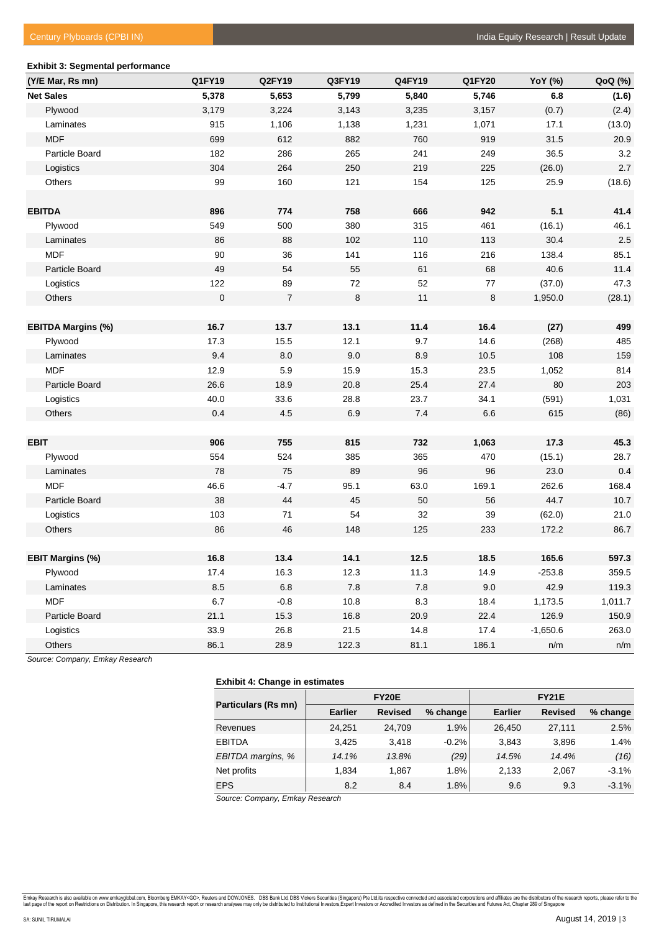# **Exhibit 3: Segmental performance (Y/E Mar, Rs mn) Q1FY19 Q2FY19 Q3FY19 Q4FY19 Q1FY20 YoY (%) QoQ (%) Net Sales 5,378 5,653 5,799 5,840 5,746 6.8 (1.6)** Plywood 3,179 3,224 3,143 3,235 3,157 (0.7) (2.4) Laminates 915 1,106 1,138 1,231 1,071 17.1 (13.0) MDF 699 612 882 760 919 31.5 20.9 Particle Board 182 286 265 241 249 36.5 3.2 Logistics 304 264 250 219 225 (26.0) 2.7 Others 99 160 121 154 125 25.9 (18.6) **EBITDA 896 774 758 666 942 5.1 41.4** Plywood 549 500 380 315 461 (16.1) 46.1 Laminates 86 88 102 110 113 30.4 2.5 MDF 90 36 141 116 216 138.4 85.1 Particle Board 49 54 55 61 68 40.6 11.4 Logistics 122 89 72 52 77 (37.0) 47.3 Others 0 7 8 11 8 1,950.0 (28.1) **EBITDA Margins (%) 16.7 13.7 13.1 11.4 16.4 (27) 499** Plywood 17.3 15.5 12.1 9.7 14.6 (268) 485 Laminates 9.4 8.0 9.0 8.9 10.5 108 159 01 12.9 12.9 15.9 15.3 23.5 1,052 814 15.3 1052 814 Particle Board 26.6 18.9 20.8 25.4 27.4 80 203 Logistics 40.0 33.6 28.8 23.7 34.1 (591) 1,031 Others 0.4 4.5 6.9 7.4 6.6 615 (86) **EBIT 906 755 815 732 1,063 17.3 45.3** Plywood 554 524 385 365 470 (15.1) 28.7 Laminates 78 75 89 96 96 23.0 0.4 MDF 46.6 -4.7 95.1 63.0 169.1 262.6 168.4 Particle Board 38 44 45 50 56 44.7 10.7 Logistics 103 71 54 32 39 (62.0) 21.0 Others 86 46 148 125 233 172.2 86.7 **EBIT Margins (%) 16.8 13.4 14.1 12.5 18.5 165.6 597.3** Plywood 17.4 16.3 12.3 11.3 14.9 -253.8 359.5 Laminates 8.5 6.8 7.8 7.8 9.0 42.9 119.3 MDF 6.7 -0.8 10.8 8.3 18.4 1,173.5 1,011.7 Particle Board 21.1 15.3 16.8 20.9 22.4 126.9 150.9 Logistics 33.9 26.8 21.5 14.8 17.4 -1,650.6 263.0 Others 86.1 28.9 122.3 81.1 186.1 n/m n/m

*Source: Company, Emkay Research*

#### **Exhibit 4: Change in estimates**

|                     |                | <b>FY20E</b>   |          |                |                |          |
|---------------------|----------------|----------------|----------|----------------|----------------|----------|
| Particulars (Rs mn) | <b>Earlier</b> | <b>Revised</b> | % change | <b>Earlier</b> | <b>Revised</b> | % change |
| Revenues            | 24.251         | 24.709         | 1.9%     | 26.450         | 27.111         | 2.5%     |
| <b>EBITDA</b>       | 3.425          | 3.418          | $-0.2%$  | 3.843          | 3,896          | 1.4%     |
| EBITDA margins, %   | 14.1%          | 13.8%          | (29)     | 14.5%          | 14.4%          | (16)     |
| Net profits         | 1.834          | 1.867          | 1.8%     | 2.133          | 2,067          | $-3.1%$  |
| <b>EPS</b>          | 8.2            | 8.4            | 1.8%     | 9.6            | 9.3            | $-3.1%$  |

*Source: Company, Emkay Research*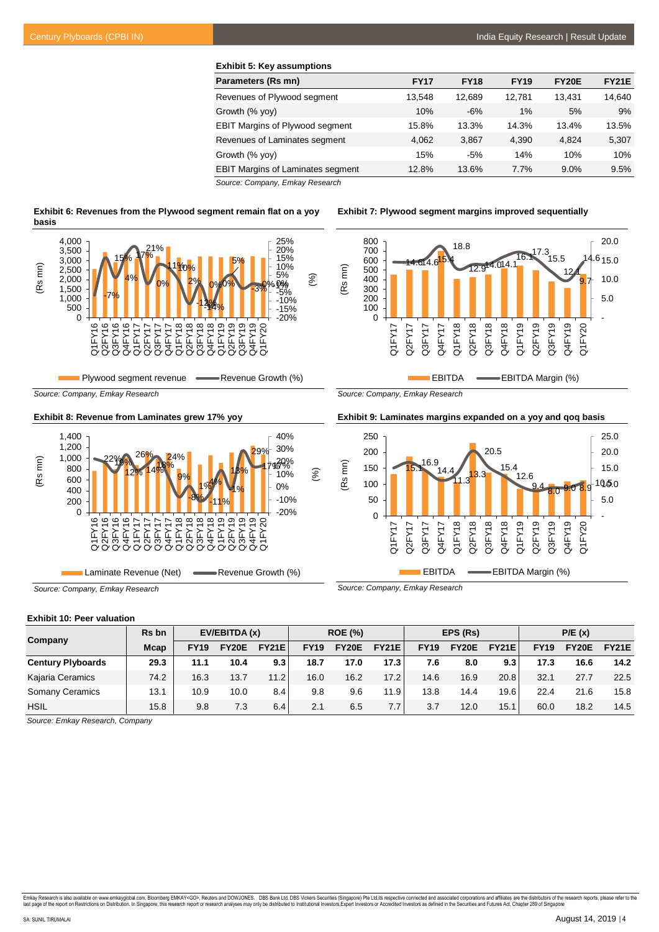| <b>Exhibit 5: Key assumptions</b>        |             |             |             |              |              |
|------------------------------------------|-------------|-------------|-------------|--------------|--------------|
| Parameters (Rs mn)                       | <b>FY17</b> | <b>FY18</b> | <b>FY19</b> | <b>FY20E</b> | <b>FY21E</b> |
| Revenues of Plywood segment              | 13.548      | 12.689      | 12.781      | 13.431       | 14,640       |
| Growth (% yoy)                           | 10%         | $-6%$       | 1%          | 5%           | 9%           |
| <b>EBIT Margins of Plywood segment</b>   | 15.8%       | 13.3%       | 14.3%       | 13.4%        | 13.5%        |
| Revenues of Laminates segment            | 4.062       | 3.867       | 4.390       | 4.824        | 5,307        |
| Growth (% yoy)                           | 15%         | $-5%$       | 14%         | 10%          | 10%          |
| <b>EBIT Margins of Laminates segment</b> | 12.8%       | 13.6%       | 7.7%        | 9.0%         | 9.5%         |

*Source: Company, Emkay Research*

| Exhibit 6: Revenues from the Plywood segment remain flat on a yoy |  |
|-------------------------------------------------------------------|--|
| basis                                                             |  |



*Source: Company, Emkay Research*

**Exhibit 8: Revenue from Laminates grew 17% yoy**



Laminate Revenue (Net) **All Revenue Growth (%)** 

*Source: Company, Emkay Research*

**Exhibit 7: Plywood segment margins improved sequentially**



*Source: Company, Emkay Research*

**Exhibit 9: Laminates margins expanded on a yoy and qoq basis**



*Source: Company, Emkay Research*

#### **Exhibit 10: Peer valuation**

| Company                  | Rs bn       | EV/EBITDA (x) |              | <b>ROE (%)</b> |             | EPS (Rs)     |              |             | P/E(x)       |              |             |              |              |
|--------------------------|-------------|---------------|--------------|----------------|-------------|--------------|--------------|-------------|--------------|--------------|-------------|--------------|--------------|
|                          | <b>Mcap</b> | <b>FY19</b>   | <b>FY20E</b> | <b>FY21E</b>   | <b>FY19</b> | <b>FY20E</b> | <b>FY21E</b> | <b>FY19</b> | <b>FY20E</b> | <b>FY21E</b> | <b>FY19</b> | <b>FY20E</b> | <b>FY21E</b> |
| <b>Century Plyboards</b> | 29.3        | 11.1          | 10.4         | 9.3            | 18.7        | 17.0         | 17.3         | 7.6         | 8.0          | 9.3          | 17.3        | 16.6         | 14.2         |
| Kajaria Ceramics         | 74.2        | 16.3          | 13.7         | 11.2           | 16.0        | 16.2         | 17.2         | 14.6        | 16.9         | 20.8         | 32.1        | 27.7         | 22.5         |
| <b>Somany Ceramics</b>   | 13.1        | 10.9          | 10.0         | 8.4            | 9.8         | 9.6          | 11.9         | 13.8        | 14.4         | 19.6         | 22.4        | 21.6         | 15.8         |
| <b>HSIL</b>              | 15.8        | 9.8           | 7.3          | 6.4            | 2.1         | 6.5          | 7.7          | 3.7         | 12.0         | 15.1         | 60.0        | 18.2         | 14.5         |

*Source: Emkay Research, Company*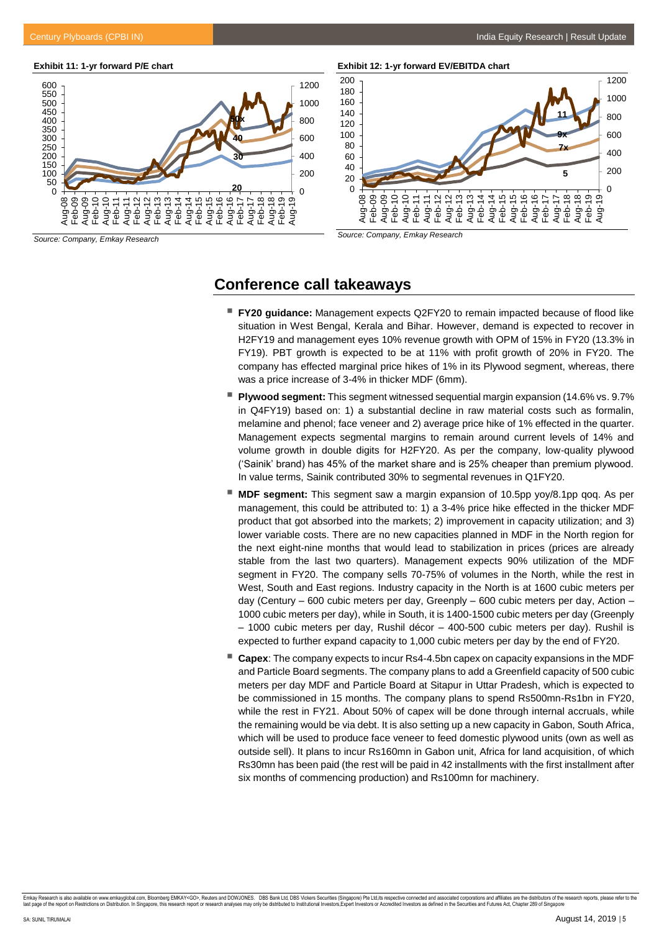#### **Exhibit 11: 1-yr forward P/E chart**



*Source: Company, Emkay Research*

**Exhibit 12: 1-yr forward EV/EBITDA chart**



*Source: Company, Emkay Research*

# **Conference call takeaways**

- **FY20 guidance:** Management expects Q2FY20 to remain impacted because of flood like situation in West Bengal, Kerala and Bihar. However, demand is expected to recover in H2FY19 and management eyes 10% revenue growth with OPM of 15% in FY20 (13.3% in FY19). PBT growth is expected to be at 11% with profit growth of 20% in FY20. The company has effected marginal price hikes of 1% in its Plywood segment, whereas, there was a price increase of 3-4% in thicker MDF (6mm).
- **Plywood segment:** This segment witnessed sequential margin expansion (14.6% vs. 9.7% in Q4FY19) based on: 1) a substantial decline in raw material costs such as formalin, melamine and phenol; face veneer and 2) average price hike of 1% effected in the quarter. Management expects segmental margins to remain around current levels of 14% and volume growth in double digits for H2FY20. As per the company, low-quality plywood ('Sainik' brand) has 45% of the market share and is 25% cheaper than premium plywood. In value terms, Sainik contributed 30% to segmental revenues in Q1FY20.
- **MDF segment:** This segment saw a margin expansion of 10.5pp yoy/8.1pp qoq. As per management, this could be attributed to: 1) a 3-4% price hike effected in the thicker MDF product that got absorbed into the markets; 2) improvement in capacity utilization; and 3) lower variable costs. There are no new capacities planned in MDF in the North region for the next eight-nine months that would lead to stabilization in prices (prices are already stable from the last two quarters). Management expects 90% utilization of the MDF segment in FY20. The company sells 70-75% of volumes in the North, while the rest in West, South and East regions. Industry capacity in the North is at 1600 cubic meters per day (Century – 600 cubic meters per day, Greenply – 600 cubic meters per day, Action – 1000 cubic meters per day), while in South, it is 1400-1500 cubic meters per day (Greenply – 1000 cubic meters per day, Rushil décor – 400-500 cubic meters per day). Rushil is expected to further expand capacity to 1,000 cubic meters per day by the end of FY20.
- **Capex**: The company expects to incur Rs4-4.5bn capex on capacity expansions in the MDF and Particle Board segments. The company plans to add a Greenfield capacity of 500 cubic meters per day MDF and Particle Board at Sitapur in Uttar Pradesh, which is expected to be commissioned in 15 months. The company plans to spend Rs500mn-Rs1bn in FY20, while the rest in FY21. About 50% of capex will be done through internal accruals, while the remaining would be via debt. It is also setting up a new capacity in Gabon, South Africa, which will be used to produce face veneer to feed domestic plywood units (own as well as outside sell). It plans to incur Rs160mn in Gabon unit, Africa for land acquisition, of which Rs30mn has been paid (the rest will be paid in 42 installments with the first installment after six months of commencing production) and Rs100mn for machinery.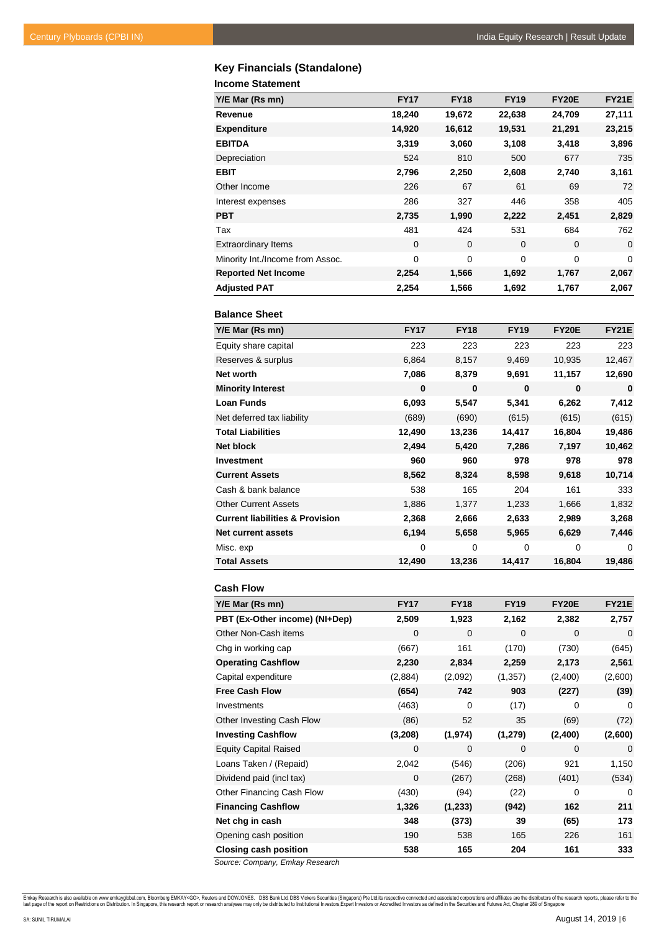# **Key Financials (Standalone)**

**Income Statement**

| Y/E Mar (Rs mn)                  | <b>FY17</b> | <b>FY18</b>    | <b>FY19</b> | <b>FY20E</b> | <b>FY21E</b> |
|----------------------------------|-------------|----------------|-------------|--------------|--------------|
| Revenue                          | 18,240      | 19,672         | 22,638      | 24,709       | 27,111       |
| <b>Expenditure</b>               | 14,920      | 16,612         | 19,531      | 21,291       | 23,215       |
| <b>EBITDA</b>                    | 3,319       | 3,060          | 3,108       | 3,418        | 3,896        |
| Depreciation                     | 524         | 810            | 500         | 677          | 735          |
| <b>EBIT</b>                      | 2,796       | 2,250          | 2,608       | 2,740        | 3,161        |
| Other Income                     | 226         | 67             | 61          | 69           | 72           |
| Interest expenses                | 286         | 327            | 446         | 358          | 405          |
| <b>PBT</b>                       | 2,735       | 1,990          | 2,222       | 2,451        | 2,829        |
| Tax                              | 481         | 424            | 531         | 684          | 762          |
| <b>Extraordinary Items</b>       | $\mathbf 0$ | $\overline{0}$ | $\Omega$    | $\mathbf 0$  | $\mathbf 0$  |
| Minority Int./Income from Assoc. | 0           | $\Omega$       | $\Omega$    | $\mathbf 0$  | 0            |
| <b>Reported Net Income</b>       | 2,254       | 1,566          | 1,692       | 1,767        | 2,067        |
| <b>Adjusted PAT</b>              | 2,254       | 1,566          | 1,692       | 1,767        | 2,067        |

## **Balance Sheet**

| Y/E Mar (Rs mn)                            | <b>FY17</b> | <b>FY18</b> | <b>FY19</b> | <b>FY20E</b> | <b>FY21E</b> |
|--------------------------------------------|-------------|-------------|-------------|--------------|--------------|
| Equity share capital                       | 223         | 223         | 223         | 223          | 223          |
| Reserves & surplus                         | 6,864       | 8,157       | 9,469       | 10,935       | 12,467       |
| Net worth                                  | 7,086       | 8,379       | 9,691       | 11,157       | 12,690       |
| <b>Minority Interest</b>                   | $\bf{0}$    | $\bf{0}$    | $\bf{0}$    | $\bf{0}$     | $\bf{0}$     |
| <b>Loan Funds</b>                          | 6,093       | 5,547       | 5,341       | 6,262        | 7,412        |
| Net deferred tax liability                 | (689)       | (690)       | (615)       | (615)        | (615)        |
| <b>Total Liabilities</b>                   | 12,490      | 13,236      | 14,417      | 16,804       | 19,486       |
| <b>Net block</b>                           | 2,494       | 5,420       | 7,286       | 7,197        | 10,462       |
| Investment                                 | 960         | 960         | 978         | 978          | 978          |
| <b>Current Assets</b>                      | 8,562       | 8,324       | 8,598       | 9,618        | 10,714       |
| Cash & bank balance                        | 538         | 165         | 204         | 161          | 333          |
| <b>Other Current Assets</b>                | 1,886       | 1,377       | 1,233       | 1,666        | 1,832        |
| <b>Current liabilities &amp; Provision</b> | 2,368       | 2,666       | 2,633       | 2,989        | 3,268        |
| <b>Net current assets</b>                  | 6,194       | 5,658       | 5,965       | 6,629        | 7,446        |
| Misc. exp                                  | 0           | $\mathbf 0$ | $\Omega$    | $\Omega$     | 0            |
| <b>Total Assets</b>                        | 12,490      | 13,236      | 14,417      | 16,804       | 19,486       |

| <b>Cash Flow</b>               |             |             |             |              |              |
|--------------------------------|-------------|-------------|-------------|--------------|--------------|
| Y/E Mar (Rs mn)                | <b>FY17</b> | <b>FY18</b> | <b>FY19</b> | <b>FY20E</b> | <b>FY21E</b> |
| PBT (Ex-Other income) (NI+Dep) | 2,509       | 1,923       | 2,162       | 2,382        | 2,757        |
| Other Non-Cash items           | 0           | 0           | $\Omega$    | $\Omega$     | 0            |
| Chg in working cap             | (667)       | 161         | (170)       | (730)        | (645)        |
| <b>Operating Cashflow</b>      | 2,230       | 2,834       | 2,259       | 2,173        | 2,561        |
| Capital expenditure            | (2,884)     | (2,092)     | (1, 357)    | (2,400)      | (2,600)      |
| <b>Free Cash Flow</b>          | (654)       | 742         | 903         | (227)        | (39)         |
| Investments                    | (463)       | 0           | (17)        | 0            | 0            |
| Other Investing Cash Flow      | (86)        | 52          | 35          | (69)         | (72)         |
| <b>Investing Cashflow</b>      | (3,208)     | (1, 974)    | (1, 279)    | (2,400)      | (2,600)      |
| <b>Equity Capital Raised</b>   | 0           | 0           | 0           | $\Omega$     | 0            |
| Loans Taken / (Repaid)         | 2,042       | (546)       | (206)       | 921          | 1,150        |
| Dividend paid (incl tax)       | $\mathbf 0$ | (267)       | (268)       | (401)        | (534)        |
| Other Financing Cash Flow      | (430)       | (94)        | (22)        | $\Omega$     | 0            |
| <b>Financing Cashflow</b>      | 1,326       | (1, 233)    | (942)       | 162          | 211          |
| Net chg in cash                | 348         | (373)       | 39          | (65)         | 173          |
| Opening cash position          | 190         | 538         | 165         | 226          | 161          |
| <b>Closing cash position</b>   | 538         | 165         | 204         | 161          | 333          |

*Source: Company, Emkay Research*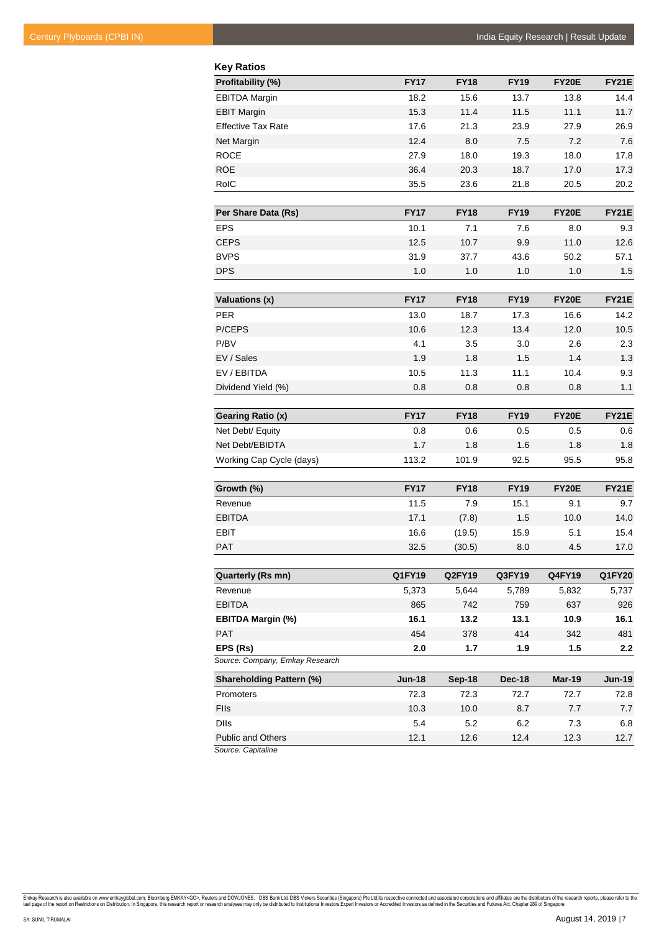| <b>Key Ratios</b>               |               |                  |             |               |               |
|---------------------------------|---------------|------------------|-------------|---------------|---------------|
| Profitability (%)               | <b>FY17</b>   | <b>FY18</b>      | <b>FY19</b> | <b>FY20E</b>  | <b>FY21E</b>  |
| <b>EBITDA Margin</b>            | 18.2          | 15.6             | 13.7        | 13.8          | 14.4          |
| <b>EBIT Margin</b>              | 15.3          | 11.4             | 11.5        | 11.1          | 11.7          |
| <b>Effective Tax Rate</b>       | 17.6          | 21.3             | 23.9        | 27.9          | 26.9          |
| Net Margin                      | 12.4          | 8.0              | 7.5         | 7.2           | 7.6           |
| <b>ROCE</b>                     | 27.9          | 18.0             | 19.3        | 18.0          | 17.8          |
| <b>ROE</b>                      | 36.4          | 20.3             | 18.7        | 17.0          | 17.3          |
| RoIC                            | 35.5          | 23.6             | 21.8        | 20.5          | 20.2          |
|                                 |               |                  |             |               |               |
| Per Share Data (Rs)             | <b>FY17</b>   | <b>FY18</b>      | <b>FY19</b> | <b>FY20E</b>  | <b>FY21E</b>  |
| <b>EPS</b>                      | 10.1          | 7.1              | 7.6         | 8.0           | 9.3           |
| <b>CEPS</b>                     | 12.5          | 10.7             | 9.9         | 11.0          | 12.6          |
| <b>BVPS</b>                     | 31.9          | 37.7             | 43.6        | 50.2          | 57.1          |
| <b>DPS</b>                      | 1.0           | 1.0              | 1.0         | 1.0           | 1.5           |
| <b>Valuations (x)</b>           | <b>FY17</b>   | <b>FY18</b>      | <b>FY19</b> | <b>FY20E</b>  | <b>FY21E</b>  |
| <b>PER</b>                      | 13.0          | 18.7             | 17.3        | 16.6          | 14.2          |
| P/CEPS                          | 10.6          | 12.3             | 13.4        | 12.0          | 10.5          |
| P/BV                            | 4.1           | 3.5              | 3.0         | 2.6           | 2.3           |
| EV / Sales                      | 1.9           | 1.8              | 1.5         | 1.4           | 1.3           |
| EV/EBITDA                       | 10.5          | 11.3             | 11.1        | 10.4          | 9.3           |
| Dividend Yield (%)              | 0.8           | 0.8              | 0.8         | 0.8           | 1.1           |
|                                 |               |                  |             |               |               |
| Gearing Ratio (x)               | <b>FY17</b>   | <b>FY18</b>      | <b>FY19</b> | <b>FY20E</b>  | <b>FY21E</b>  |
| Net Debt/ Equity                | 0.8           | 0.6              | 0.5         | 0.5           | 0.6           |
| Net Debt/EBIDTA                 | 1.7           | 1.8              | 1.6         | 1.8           | 1.8           |
| Working Cap Cycle (days)        | 113.2         | 101.9            | 92.5        | 95.5          | 95.8          |
|                                 | <b>FY17</b>   |                  |             |               |               |
| Growth (%)                      |               | <b>FY18</b>      | <b>FY19</b> | <b>FY20E</b>  | <b>FY21E</b>  |
| Revenue<br><b>EBITDA</b>        | 11.5          | 7.9              | 15.1        | 9.1           | 9.7           |
| <b>EBIT</b>                     | 17.1<br>16.6  | (7.8)            | 1.5         | 10.0          | 14.0          |
| <b>PAT</b>                      | 32.5          | (19.5)<br>(30.5) | 15.9<br>8.0 | 5.1<br>4.5    | 15.4<br>17.0  |
|                                 |               |                  |             |               |               |
| Quarterly (Rs mn)               | Q1FY19        | <b>Q2FY19</b>    | Q3FY19      | <b>Q4FY19</b> | <b>Q1FY20</b> |
| Revenue                         | 5,373         | 5,644            | 5,789       | 5,832         | 5,737         |
| <b>EBITDA</b>                   | 865           | 742              | 759         | 637           | 926           |
| <b>EBITDA Margin (%)</b>        | 16.1          | 13.2             | 13.1        | 10.9          | 16.1          |
| <b>PAT</b>                      | 454           | 378              | 414         | 342           | 481           |
| EPS (Rs)                        | 2.0           | 1.7              | 1.9         | 1.5           | 2.2           |
| Source: Company, Emkay Research |               |                  |             |               |               |
| <b>Shareholding Pattern (%)</b> | <b>Jun-18</b> | <b>Sep-18</b>    | Dec-18      | Mar-19        | $Jun-19$      |
| Promoters                       | 72.3          | 72.3             | 72.7        | 72.7          | 72.8          |
| Flls                            | 10.3          | 10.0             | 8.7         | 7.7           | 7.7           |
| <b>DIIs</b>                     | 5.4           | 5.2              | 6.2         | 7.3           | 6.8           |
| <b>Public and Others</b>        | 12.1          | 12.6             | 12.4        | 12.3          | 12.7          |

*Source: Capitaline*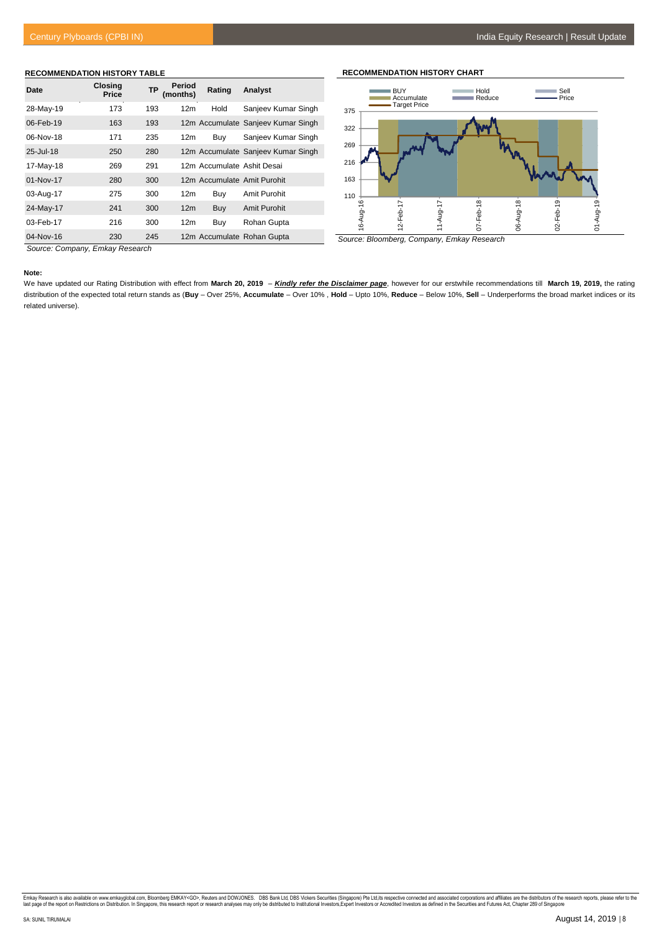#### **RECOMMENDATION HISTORY TABLE**

| Date        | <b>Closing</b><br>Price | <b>TP</b> | Period<br>(months) | Rating                     | Analyst                            |
|-------------|-------------------------|-----------|--------------------|----------------------------|------------------------------------|
| 28-May-19   | 173                     | 193       | 12 <sub>m</sub>    | Hold                       | Sanjeev Kumar Singh                |
| 06-Feb-19   | 163                     | 193       |                    |                            | 12m Accumulate Sanjeev Kumar Singh |
| 06-Nov-18   | 171                     | 235       | 12 <sub>m</sub>    | Buy                        | Sanjeev Kumar Singh                |
| 25-Jul-18   | 250                     | 280       |                    |                            | 12m Accumulate Sanjeev Kumar Singh |
| 17-May-18   | 269                     | 291       |                    | 12m Accumulate Ashit Desai |                                    |
| $01-Nov-17$ | 280                     | 300       |                    |                            | 12m Accumulate Amit Purohit        |
| 03-Aug-17   | 275                     | 300       | 12 <sub>m</sub>    | Buy                        | Amit Purohit                       |
| 24-May-17   | 241                     | 300       | 12 <sub>m</sub>    | Buy                        | Amit Purohit                       |
| 03-Feb-17   | 216                     | 300       | 12 <sub>m</sub>    | Buy                        | Rohan Gupta                        |
| 04-Nov-16   | 230                     | 245       |                    |                            | 12m Accumulate Rohan Gupta         |



**RECOMMENDATION HISTORY CHART**

*Source: Bloomberg, Company, Emkay Research*

*Source: Company, Emkay Research*

#### **Note:**

We have updated our Rating Distribution with effect from **March 20, 2019** – *Kindly refer the Disclaimer page*, however for our erstwhile recommendations till **March 19, 2019,** the rating distribution of the expected total return stands as (**Buy** – Over 25%, **Accumulate** – Over 10% , **Hold** – Upto 10%, **Reduce** – Below 10%, **Sell** – Underperforms the broad market indices or its related universe).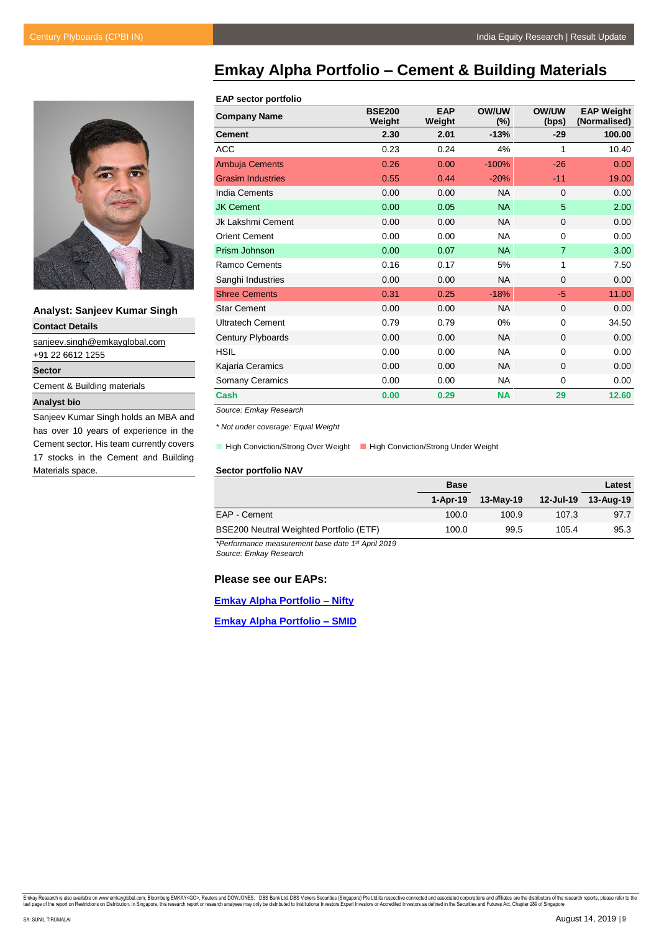

**Analyst: Sanjeev Kumar Singh**

**Contact Details** [sanjeev.singh@emkayglobal.com](mailto:sanjeev.singh@emkayglobal.com) +91 22 6612 1255 **Sector** Cement & Building materials

# **Analyst bio**

Sanjeev Kumar Singh holds an MBA and has over 10 years of experience in the Cement sector. His team currently covers 17 stocks in the Cement and Building Materials space.

# <span id="page-8-0"></span>**Emkay Alpha Portfolio – Cement & Building Materials**

#### **EAP sector portfolio**

| <b>Company Name</b>      | <b>BSE200</b><br>Weight | <b>EAP</b><br>Weight | <b>OW/UW</b><br>(%) | <b>OW/UW</b><br>(bps) | <b>EAP Weight</b><br>(Normalised) |
|--------------------------|-------------------------|----------------------|---------------------|-----------------------|-----------------------------------|
| <b>Cement</b>            | 2.30                    | 2.01                 | $-13%$              | $-29$                 | 100.00                            |
| <b>ACC</b>               | 0.23                    | 0.24                 | 4%                  | 1                     | 10.40                             |
| <b>Ambuja Cements</b>    | 0.26                    | 0.00                 | $-100%$             | $-26$                 | 0.00                              |
| <b>Grasim Industries</b> | 0.55                    | 0.44                 | $-20%$              | $-11$                 | 19.00                             |
| India Cements            | 0.00                    | 0.00                 | <b>NA</b>           | $\mathbf 0$           | 0.00                              |
| <b>JK Cement</b>         | 0.00                    | 0.05                 | <b>NA</b>           | 5                     | 2.00                              |
| Jk Lakshmi Cement        | 0.00                    | 0.00                 | <b>NA</b>           | $\mathbf 0$           | 0.00                              |
| <b>Orient Cement</b>     | 0.00                    | 0.00                 | <b>NA</b>           | 0                     | 0.00                              |
| Prism Johnson            | 0.00                    | 0.07                 | <b>NA</b>           | $\overline{7}$        | 3.00                              |
| <b>Ramco Cements</b>     | 0.16                    | 0.17                 | 5%                  | 1                     | 7.50                              |
| Sanghi Industries        | 0.00                    | 0.00                 | <b>NA</b>           | $\mathbf 0$           | 0.00                              |
| <b>Shree Cements</b>     | 0.31                    | 0.25                 | $-18%$              | $-5$                  | 11.00                             |
| <b>Star Cement</b>       | 0.00                    | 0.00                 | <b>NA</b>           | $\mathbf 0$           | 0.00                              |
| <b>Ultratech Cement</b>  | 0.79                    | 0.79                 | 0%                  | $\mathbf 0$           | 34.50                             |
| Century Plyboards        | 0.00                    | 0.00                 | <b>NA</b>           | $\mathbf 0$           | 0.00                              |
| <b>HSIL</b>              | 0.00                    | 0.00                 | <b>NA</b>           | $\mathbf 0$           | 0.00                              |
| Kajaria Ceramics         | 0.00                    | 0.00                 | <b>NA</b>           | $\mathbf 0$           | 0.00                              |
| Somany Ceramics          | 0.00                    | 0.00                 | <b>NA</b>           | 0                     | 0.00                              |
| Cash                     | 0.00                    | 0.29                 | <b>NA</b>           | 29                    | 12.60                             |

*Source: Emkay Research*

*\* Not under coverage: Equal Weight*

**High Conviction/Strong Over Weight**  High Conviction/Strong Under Weight

#### **Sector portfolio NAV**

|                                         | <b>Base</b> |           |       | Latest |
|-----------------------------------------|-------------|-----------|-------|--------|
|                                         | 1-Apr-19    | 13-May-19 |       |        |
| EAP - Cement                            | 100.0       | 100.9     | 107.3 | 97.7   |
| BSE200 Neutral Weighted Portfolio (ETF) | 100.0       | 99.5      | 105.4 | 95.3   |

*\*Performance measurement base date 1st April 2019 Source: Emkay Research* 

## **Please see our EAPs:**

**[Emkay Alpha Portfolio –](https://web3.emkayglobal.com/ResearchAccess/Upload/Nifty_Aug19.pdf) Nifty**

**[Emkay Alpha Portfolio –](https://web3.emkayglobal.com/ResearchAccess/Upload/SMID_Aug19.pdf) SMID**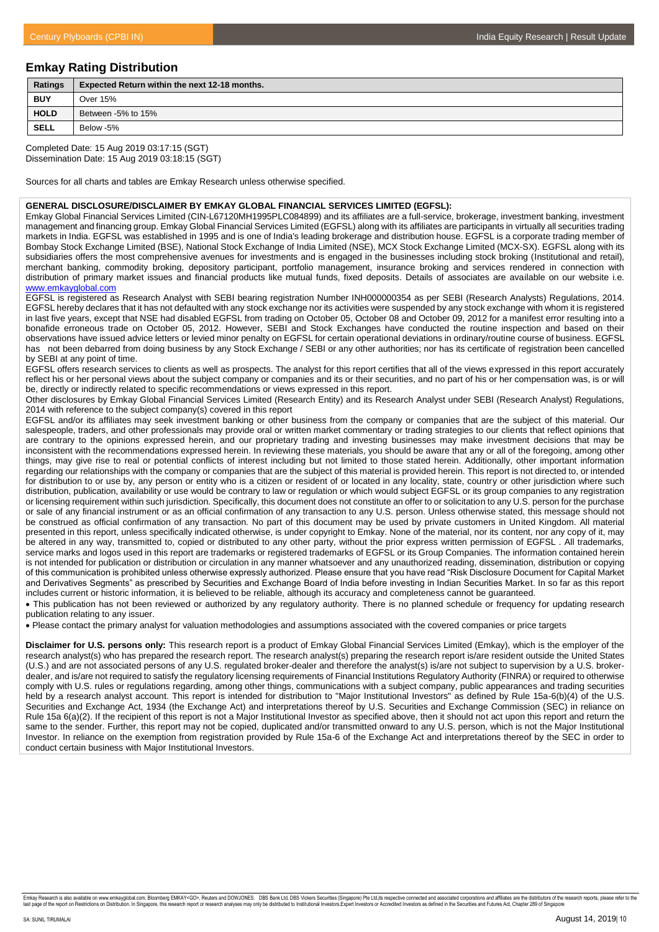# **Emkay Rating Distribution**

| Ratings     | <b>Expected Return within the next 12-18 months.</b> |
|-------------|------------------------------------------------------|
| <b>BUY</b>  | Over 15%                                             |
| <b>HOLD</b> | Between -5% to 15%                                   |
| <b>SELL</b> | Below -5%                                            |
|             |                                                      |

Completed Date: 15 Aug 2019 03:17:15 (SGT) Dissemination Date: 15 Aug 2019 03:18:15 (SGT)

Sources for all charts and tables are Emkay Research unless otherwise specified.

#### **GENERAL DISCLOSURE/DISCLAIMER BY EMKAY GLOBAL FINANCIAL SERVICES LIMITED (EGFSL):**

Emkay Global Financial Services Limited (CIN-L67120MH1995PLC084899) and its affiliates are a full-service, brokerage, investment banking, investment management and financing group. Emkay Global Financial Services Limited (EGFSL) along with its affiliates are participants in virtually all securities trading markets in India. EGFSL was established in 1995 and is one of India's leading brokerage and distribution house. EGFSL is a corporate trading member of Bombay Stock Exchange Limited (BSE), National Stock Exchange of India Limited (NSE), MCX Stock Exchange Limited (MCX-SX). EGFSL along with its subsidiaries offers the most comprehensive avenues for investments and is engaged in the businesses including stock broking (Institutional and retail), merchant banking, commodity broking, depository participant, portfolio management, insurance broking and services rendered in connection with distribution of primary market issues and financial products like mutual funds, fixed deposits. Details of associates are available on our website i.e. [www.emkayglobal.com](http://www.emkayglobal.com/)

EGFSL is registered as Research Analyst with SEBI bearing registration Number INH000000354 as per SEBI (Research Analysts) Regulations, 2014. EGFSL hereby declares that it has not defaulted with any stock exchange nor its activities were suspended by any stock exchange with whom it is registered in last five years, except that NSE had disabled EGFSL from trading on October 05, October 08 and October 09, 2012 for a manifest error resulting into a bonafide erroneous trade on October 05, 2012. However, SEBI and Stock Exchanges have conducted the routine inspection and based on their observations have issued advice letters or levied minor penalty on EGFSL for certain operational deviations in ordinary/routine course of business. EGFSL has not been debarred from doing business by any Stock Exchange / SEBI or any other authorities; nor has its certificate of registration been cancelled by SEBI at any point of time.

EGFSL offers research services to clients as well as prospects. The analyst for this report certifies that all of the views expressed in this report accurately reflect his or her personal views about the subject company or companies and its or their securities, and no part of his or her compensation was, is or will be, directly or indirectly related to specific recommendations or views expressed in this report.

Other disclosures by Emkay Global Financial Services Limited (Research Entity) and its Research Analyst under SEBI (Research Analyst) Regulations, 2014 with reference to the subject company(s) covered in this report

EGFSL and/or its affiliates may seek investment banking or other business from the company or companies that are the subject of this material. Our salespeople, traders, and other professionals may provide oral or written market commentary or trading strategies to our clients that reflect opinions that are contrary to the opinions expressed herein, and our proprietary trading and investing businesses may make investment decisions that may be inconsistent with the recommendations expressed herein. In reviewing these materials, you should be aware that any or all of the foregoing, among other things, may give rise to real or potential conflicts of interest including but not limited to those stated herein. Additionally, other important information regarding our relationships with the company or companies that are the subject of this material is provided herein. This report is not directed to, or intended for distribution to or use by, any person or entity who is a citizen or resident of or located in any locality, state, country or other jurisdiction where such distribution, publication, availability or use would be contrary to law or regulation or which would subject EGFSL or its group companies to any registration or licensing requirement within such jurisdiction. Specifically, this document does not constitute an offer to or solicitation to any U.S. person for the purchase or sale of any financial instrument or as an official confirmation of any transaction to any U.S. person. Unless otherwise stated, this message should not be construed as official confirmation of any transaction. No part of this document may be used by private customers in United Kingdom. All material presented in this report, unless specifically indicated otherwise, is under copyright to Emkay. None of the material, nor its content, nor any copy of it, may be altered in any way, transmitted to, copied or distributed to any other party, without the prior express written permission of EGFSL . All trademarks, service marks and logos used in this report are trademarks or registered trademarks of EGFSL or its Group Companies. The information contained herein is not intended for publication or distribution or circulation in any manner whatsoever and any unauthorized reading, dissemination, distribution or copying of this communication is prohibited unless otherwise expressly authorized. Please ensure that you have read "Risk Disclosure Document for Capital Market and Derivatives Segments" as prescribed by Securities and Exchange Board of India before investing in Indian Securities Market. In so far as this report includes current or historic information, it is believed to be reliable, although its accuracy and completeness cannot be guaranteed.

 This publication has not been reviewed or authorized by any regulatory authority. There is no planned schedule or frequency for updating research publication relating to any issuer.

Please contact the primary analyst for valuation methodologies and assumptions associated with the covered companies or price targets

**Disclaimer for U.S. persons only:** This research report is a product of Emkay Global Financial Services Limited (Emkay), which is the employer of the research analyst(s) who has prepared the research report. The research analyst(s) preparing the research report is/are resident outside the United States (U.S.) and are not associated persons of any U.S. regulated broker-dealer and therefore the analyst(s) is/are not subject to supervision by a U.S. brokerdealer, and is/are not required to satisfy the regulatory licensing requirements of Financial Institutions Regulatory Authority (FINRA) or required to otherwise comply with U.S. rules or regulations regarding, among other things, communications with a subject company, public appearances and trading securities held by a research analyst account. This report is intended for distribution to "Major Institutional Investors" as defined by Rule 15a-6(b)(4) of the U.S. Securities and Exchange Act, 1934 (the Exchange Act) and interpretations thereof by U.S. Securities and Exchange Commission (SEC) in reliance on Rule 15a 6(a)(2). If the recipient of this report is not a Major Institutional Investor as specified above, then it should not act upon this report and return the same to the sender. Further, this report may not be copied, duplicated and/or transmitted onward to any U.S. person, which is not the Major Institutional Investor. In reliance on the exemption from registration provided by Rule 15a-6 of the Exchange Act and interpretations thereof by the SEC in order to conduct certain business with Major Institutional Investors.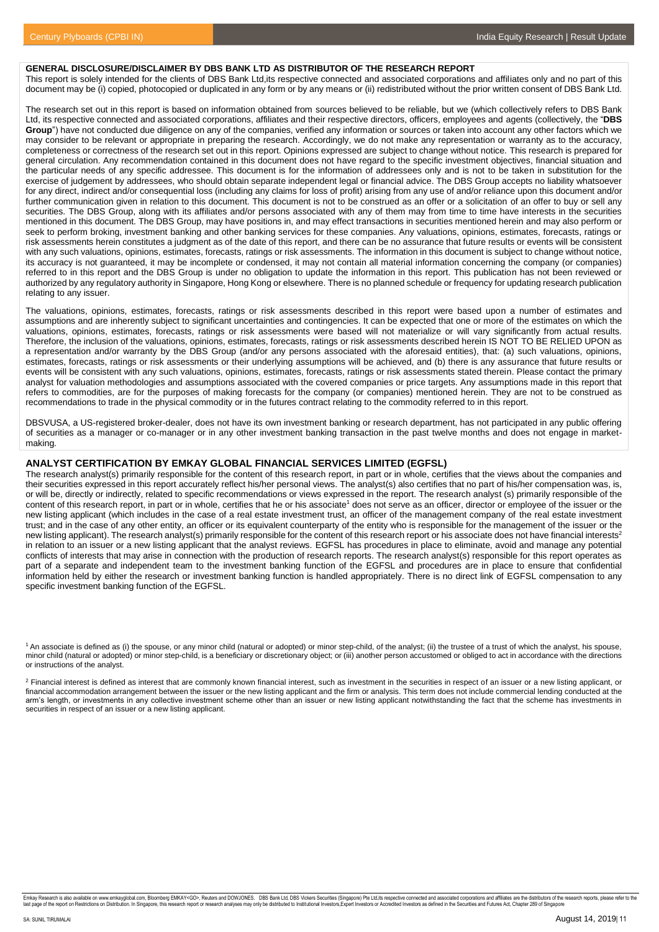#### **GENERAL DISCLOSURE/DISCLAIMER BY DBS BANK LTD AS DISTRIBUTOR OF THE RESEARCH REPORT**

This report is solely intended for the clients of DBS Bank Ltd,its respective connected and associated corporations and affiliates only and no part of this document may be (i) copied, photocopied or duplicated in any form or by any means or (ii) redistributed without the prior written consent of DBS Bank Ltd.

The research set out in this report is based on information obtained from sources believed to be reliable, but we (which collectively refers to DBS Bank Ltd, its respective connected and associated corporations, affiliates and their respective directors, officers, employees and agents (collectively, the "**DBS Group**") have not conducted due diligence on any of the companies, verified any information or sources or taken into account any other factors which we may consider to be relevant or appropriate in preparing the research. Accordingly, we do not make any representation or warranty as to the accuracy, completeness or correctness of the research set out in this report. Opinions expressed are subject to change without notice. This research is prepared for general circulation. Any recommendation contained in this document does not have regard to the specific investment objectives, financial situation and the particular needs of any specific addressee. This document is for the information of addressees only and is not to be taken in substitution for the exercise of judgement by addressees, who should obtain separate independent legal or financial advice. The DBS Group accepts no liability whatsoever for any direct, indirect and/or consequential loss (including any claims for loss of profit) arising from any use of and/or reliance upon this document and/or further communication given in relation to this document. This document is not to be construed as an offer or a solicitation of an offer to buy or sell any securities. The DBS Group, along with its affiliates and/or persons associated with any of them may from time to time have interests in the securities mentioned in this document. The DBS Group, may have positions in, and may effect transactions in securities mentioned herein and may also perform or seek to perform broking, investment banking and other banking services for these companies. Any valuations, opinions, estimates, forecasts, ratings or risk assessments herein constitutes a judgment as of the date of this report, and there can be no assurance that future results or events will be consistent with any such valuations, opinions, estimates, forecasts, ratings or risk assessments. The information in this document is subject to change without notice, its accuracy is not guaranteed, it may be incomplete or condensed, it may not contain all material information concerning the company (or companies) referred to in this report and the DBS Group is under no obligation to update the information in this report. This publication has not been reviewed or authorized by any regulatory authority in Singapore, Hong Kong or elsewhere. There is no planned schedule or frequency for updating research publication relating to any issuer.

The valuations, opinions, estimates, forecasts, ratings or risk assessments described in this report were based upon a number of estimates and assumptions and are inherently subject to significant uncertainties and contingencies. It can be expected that one or more of the estimates on which the valuations, opinions, estimates, forecasts, ratings or risk assessments were based will not materialize or will vary significantly from actual results. Therefore, the inclusion of the valuations, opinions, estimates, forecasts, ratings or risk assessments described herein IS NOT TO BE RELIED UPON as a representation and/or warranty by the DBS Group (and/or any persons associated with the aforesaid entities), that: (a) such valuations, opinions, estimates, forecasts, ratings or risk assessments or their underlying assumptions will be achieved, and (b) there is any assurance that future results or events will be consistent with any such valuations, opinions, estimates, forecasts, ratings or risk assessments stated therein. Please contact the primary analyst for valuation methodologies and assumptions associated with the covered companies or price targets. Any assumptions made in this report that refers to commodities, are for the purposes of making forecasts for the company (or companies) mentioned herein. They are not to be construed as recommendations to trade in the physical commodity or in the futures contract relating to the commodity referred to in this report.

DBSVUSA, a US-registered broker-dealer, does not have its own investment banking or research department, has not participated in any public offering of securities as a manager or co-manager or in any other investment banking transaction in the past twelve months and does not engage in marketmaking.

#### **ANALYST CERTIFICATION BY EMKAY GLOBAL FINANCIAL SERVICES LIMITED (EGFSL)**

The research analyst(s) primarily responsible for the content of this research report, in part or in whole, certifies that the views about the companies and their securities expressed in this report accurately reflect his/her personal views. The analyst(s) also certifies that no part of his/her compensation was, is, or will be, directly or indirectly, related to specific recommendations or views expressed in the report. The research analyst (s) primarily responsible of the content of this research report, in part or in whole, certifies that he or his associate<sup>1</sup> does not serve as an officer, director or employee of the issuer or the new listing applicant (which includes in the case of a real estate investment trust, an officer of the management company of the real estate investment trust; and in the case of any other entity, an officer or its equivalent counterparty of the entity who is responsible for the management of the issuer or the new listing applicant). The research analyst(s) primarily responsible for the content of this research report or his associate does not have financial interests<sup>2</sup> in relation to an issuer or a new listing applicant that the analyst reviews. EGFSL has procedures in place to eliminate, avoid and manage any potential conflicts of interests that may arise in connection with the production of research reports. The research analyst(s) responsible for this report operates as part of a separate and independent team to the investment banking function of the EGFSL and procedures are in place to ensure that confidential information held by either the research or investment banking function is handled appropriately. There is no direct link of EGFSL compensation to any specific investment banking function of the EGFSL.

<sup>2</sup> Financial interest is defined as interest that are commonly known financial interest, such as investment in the securities in respect of an issuer or a new listing applicant, or financial accommodation arrangement between the issuer or the new listing applicant and the firm or analysis. This term does not include commercial lending conducted at the arm's length, or investments in any collective investment scheme other than an issuer or new listing applicant notwithstanding the fact that the scheme has investments in securities in respect of an issuer or a new listing applicant.

<sup>&</sup>lt;sup>1</sup> An associate is defined as (i) the spouse, or any minor child (natural or adopted) or minor step-child, of the analyst; (ii) the trustee of a trust of which the analyst, his spouse, minor child (natural or adopted) or minor step-child, is a beneficiary or discretionary object; or (iii) another person accustomed or obliged to act in accordance with the directions or instructions of the analyst.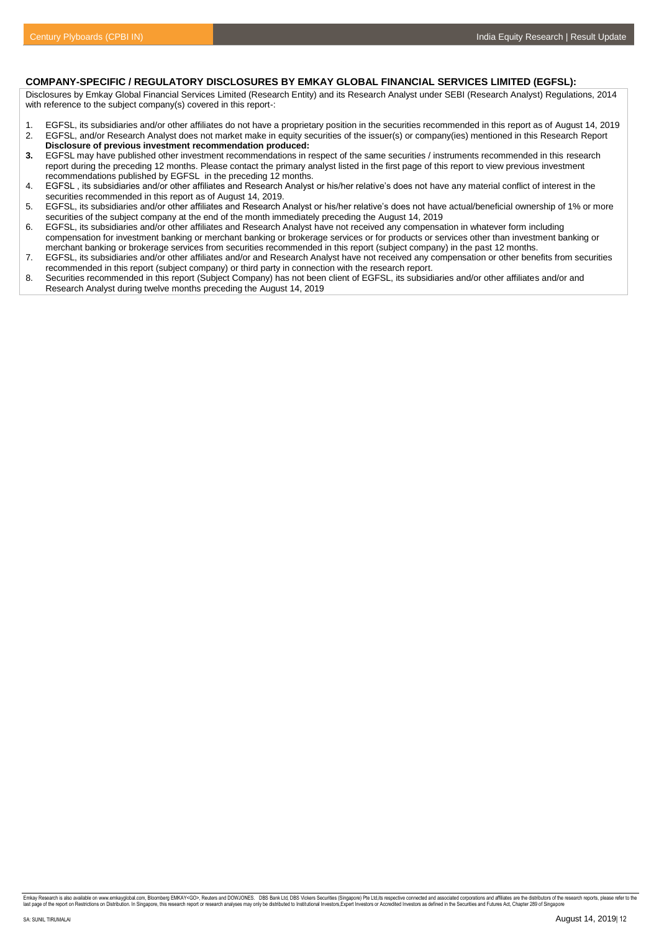# **COMPANY-SPECIFIC / REGULATORY DISCLOSURES BY EMKAY GLOBAL FINANCIAL SERVICES LIMITED (EGFSL):**

Disclosures by Emkay Global Financial Services Limited (Research Entity) and its Research Analyst under SEBI (Research Analyst) Regulations, 2014 with reference to the subject company(s) covered in this report-:

- 1. EGFSL, its subsidiaries and/or other affiliates do not have a proprietary position in the securities recommended in this report as of August 14, 2019
- 2. EGFSL, and/or Research Analyst does not market make in equity securities of the issuer(s) or company(ies) mentioned in this Research Report **Disclosure of previous investment recommendation produced:**<br>**3** EGESL may have published other investment recommendations in
- **3.** EGFSL may have published other investment recommendations in respect of the same securities / instruments recommended in this research report during the preceding 12 months. Please contact the primary analyst listed in the first page of this report to view previous investment recommendations published by EGFSL in the preceding 12 months.
- 4. EGFSL , its subsidiaries and/or other affiliates and Research Analyst or his/her relative's does not have any material conflict of interest in the securities recommended in this report as of August 14, 2019.
- 5. EGFSL, its subsidiaries and/or other affiliates and Research Analyst or his/her relative's does not have actual/beneficial ownership of 1% or more securities of the subject company at the end of the month immediately preceding the August 14, 2019
- 6. EGFSL, its subsidiaries and/or other affiliates and Research Analyst have not received any compensation in whatever form including compensation for investment banking or merchant banking or brokerage services or for products or services other than investment banking or merchant banking or brokerage services from securities recommended in this report (subject company) in the past 12 months.
- 7. EGFSL, its subsidiaries and/or other affiliates and/or and Research Analyst have not received any compensation or other benefits from securities recommended in this report (subject company) or third party in connection with the research report.
- 8. Securities recommended in this report (Subject Company) has not been client of EGFSL, its subsidiaries and/or other affiliates and/or and Research Analyst during twelve months preceding the August 14, 2019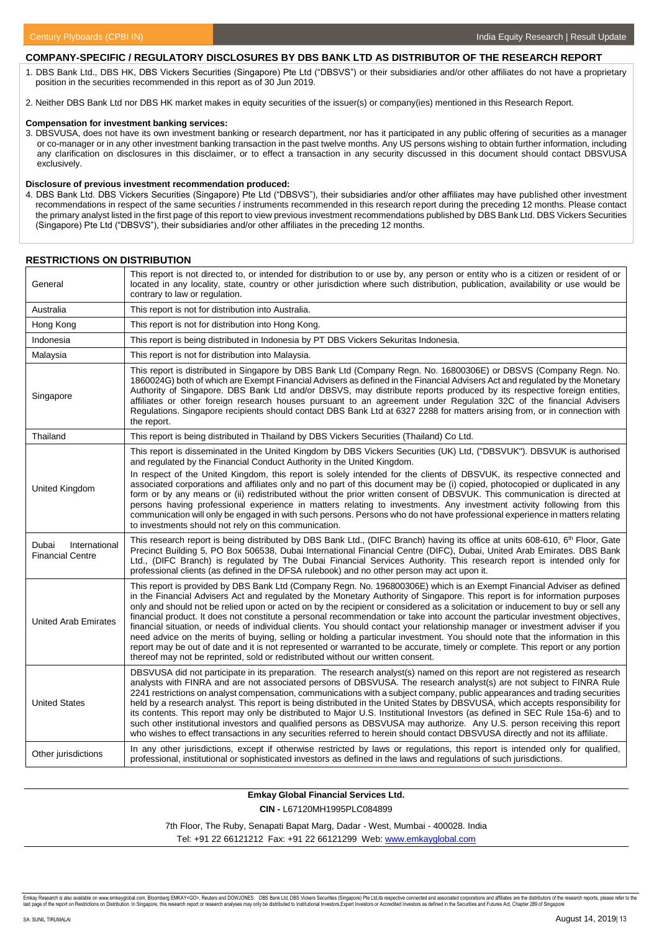## **COMPANY-SPECIFIC / REGULATORY DISCLOSURES BY DBS BANK LTD AS DISTRIBUTOR OF THE RESEARCH REPORT**

1. DBS Bank Ltd., DBS HK, DBS Vickers Securities (Singapore) Pte Ltd ("DBSVS") or their subsidiaries and/or other affiliates do not have a proprietary position in the securities recommended in this report as of 30 Jun 2019.

2. Neither DBS Bank Ltd nor DBS HK market makes in equity securities of the issuer(s) or company(ies) mentioned in this Research Report.

#### **Compensation for investment banking services:**

3. DBSVUSA, does not have its own investment banking or research department, nor has it participated in any public offering of securities as a manager or co-manager or in any other investment banking transaction in the past twelve months. Any US persons wishing to obtain further information, including any clarification on disclosures in this disclaimer, or to effect a transaction in any security discussed in this document should contact DBSVUSA exclusively.

#### **Disclosure of previous investment recommendation produced:**

4. DBS Bank Ltd. DBS Vickers Securities (Singapore) Pte Ltd ("DBSVS"), their subsidiaries and/or other affiliates may have published other investment recommendations in respect of the same securities / instruments recommended in this research report during the preceding 12 months. Please contact the primary analyst listed in the first page of this report to view previous investment recommendations published by DBS Bank Ltd. DBS Vickers Securities (Singapore) Pte Ltd ("DBSVS"), their subsidiaries and/or other affiliates in the preceding 12 months.

#### **RESTRICTIONS ON DISTRIBUTION**

| General                                           | This report is not directed to, or intended for distribution to or use by, any person or entity who is a citizen or resident of or<br>located in any locality, state, country or other jurisdiction where such distribution, publication, availability or use would be<br>contrary to law or regulation.                                                                                                                                                                                                                                                                                                                                                                                                                                                                                                                                                                                                                                                                                                              |
|---------------------------------------------------|-----------------------------------------------------------------------------------------------------------------------------------------------------------------------------------------------------------------------------------------------------------------------------------------------------------------------------------------------------------------------------------------------------------------------------------------------------------------------------------------------------------------------------------------------------------------------------------------------------------------------------------------------------------------------------------------------------------------------------------------------------------------------------------------------------------------------------------------------------------------------------------------------------------------------------------------------------------------------------------------------------------------------|
| Australia                                         | This report is not for distribution into Australia.                                                                                                                                                                                                                                                                                                                                                                                                                                                                                                                                                                                                                                                                                                                                                                                                                                                                                                                                                                   |
| Hong Kong                                         | This report is not for distribution into Hong Kong.                                                                                                                                                                                                                                                                                                                                                                                                                                                                                                                                                                                                                                                                                                                                                                                                                                                                                                                                                                   |
| Indonesia                                         | This report is being distributed in Indonesia by PT DBS Vickers Sekuritas Indonesia.                                                                                                                                                                                                                                                                                                                                                                                                                                                                                                                                                                                                                                                                                                                                                                                                                                                                                                                                  |
| Malaysia                                          | This report is not for distribution into Malaysia.                                                                                                                                                                                                                                                                                                                                                                                                                                                                                                                                                                                                                                                                                                                                                                                                                                                                                                                                                                    |
| Singapore                                         | This report is distributed in Singapore by DBS Bank Ltd (Company Regn. No. 16800306E) or DBSVS (Company Regn. No.<br>1860024G) both of which are Exempt Financial Advisers as defined in the Financial Advisers Act and regulated by the Monetary<br>Authority of Singapore. DBS Bank Ltd and/or DBSVS, may distribute reports produced by its respective foreign entities,<br>affiliates or other foreign research houses pursuant to an agreement under Regulation 32C of the financial Advisers<br>Regulations. Singapore recipients should contact DBS Bank Ltd at 6327 2288 for matters arising from, or in connection with<br>the report.                                                                                                                                                                                                                                                                                                                                                                       |
| Thailand                                          | This report is being distributed in Thailand by DBS Vickers Securities (Thailand) Co Ltd.                                                                                                                                                                                                                                                                                                                                                                                                                                                                                                                                                                                                                                                                                                                                                                                                                                                                                                                             |
| United Kingdom                                    | This report is disseminated in the United Kingdom by DBS Vickers Securities (UK) Ltd, ("DBSVUK"). DBSVUK is authorised<br>and regulated by the Financial Conduct Authority in the United Kingdom.<br>In respect of the United Kingdom, this report is solely intended for the clients of DBSVUK, its respective connected and<br>associated corporations and affiliates only and no part of this document may be (i) copied, photocopied or duplicated in any<br>form or by any means or (ii) redistributed without the prior written consent of DBSVUK. This communication is directed at<br>persons having professional experience in matters relating to investments. Any investment activity following from this<br>communication will only be engaged in with such persons. Persons who do not have professional experience in matters relating<br>to investments should not rely on this communication.                                                                                                         |
| International<br>Dubai<br><b>Financial Centre</b> | This research report is being distributed by DBS Bank Ltd., (DIFC Branch) having its office at units 608-610, 6 <sup>th</sup> Floor, Gate<br>Precinct Building 5, PO Box 506538, Dubai International Financial Centre (DIFC), Dubai, United Arab Emirates. DBS Bank<br>Ltd., (DIFC Branch) is regulated by The Dubai Financial Services Authority. This research report is intended only for<br>professional clients (as defined in the DFSA rulebook) and no other person may act upon it.                                                                                                                                                                                                                                                                                                                                                                                                                                                                                                                           |
| <b>United Arab Emirates</b>                       | This report is provided by DBS Bank Ltd (Company Regn. No. 196800306E) which is an Exempt Financial Adviser as defined<br>in the Financial Advisers Act and regulated by the Monetary Authority of Singapore. This report is for information purposes<br>only and should not be relied upon or acted on by the recipient or considered as a solicitation or inducement to buy or sell any<br>financial product. It does not constitute a personal recommendation or take into account the particular investment objectives,<br>financial situation, or needs of individual clients. You should contact your relationship manager or investment adviser if you<br>need advice on the merits of buying, selling or holding a particular investment. You should note that the information in this<br>report may be out of date and it is not represented or warranted to be accurate, timely or complete. This report or any portion<br>thereof may not be reprinted, sold or redistributed without our written consent. |
| <b>United States</b>                              | DBSVUSA did not participate in its preparation. The research analyst(s) named on this report are not registered as research<br>analysts with FINRA and are not associated persons of DBSVUSA. The research analyst(s) are not subject to FINRA Rule<br>2241 restrictions on analyst compensation, communications with a subject company, public appearances and trading securities<br>held by a research analyst. This report is being distributed in the United States by DBSVUSA, which accepts responsibility for<br>its contents. This report may only be distributed to Major U.S. Institutional Investors (as defined in SEC Rule 15a-6) and to<br>such other institutional investors and qualified persons as DBSVUSA may authorize. Any U.S. person receiving this report<br>who wishes to effect transactions in any securities referred to herein should contact DBSVUSA directly and not its affiliate.                                                                                                    |
| Other jurisdictions                               | In any other jurisdictions, except if otherwise restricted by laws or regulations, this report is intended only for qualified,<br>professional, institutional or sophisticated investors as defined in the laws and regulations of such jurisdictions.                                                                                                                                                                                                                                                                                                                                                                                                                                                                                                                                                                                                                                                                                                                                                                |

#### **Emkay Global Financial Services Ltd.**

**CIN -** L67120MH1995PLC084899

7th Floor, The Ruby, Senapati Bapat Marg, Dadar - West, Mumbai - 400028. India

Tel: +91 22 66121212 Fax: +91 22 66121299 Web: [www.emkayglobal.com](http://www.emkayglobal.com/)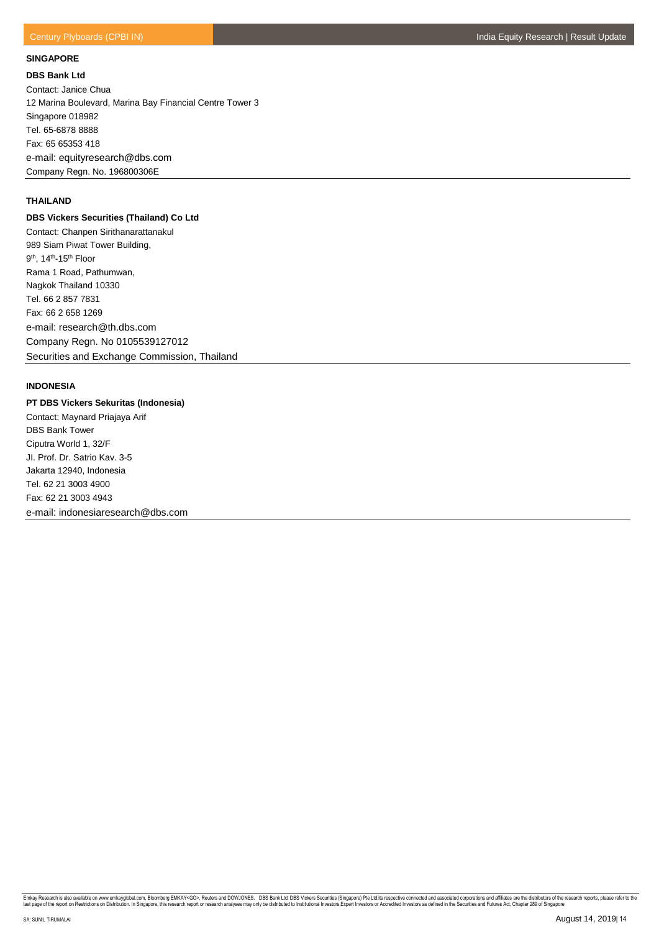#### **SINGAPORE**

**DBS Bank Ltd** Contact: Janice Chua 12 Marina Boulevard, Marina Bay Financial Centre Tower 3 Singapore 018982 Tel. 65-6878 8888 Fax: 65 65353 418 e-mail: equityresearch@dbs.com Company Regn. No. 196800306E

## **THAILAND**

# **DBS Vickers Securities (Thailand) Co Ltd**

Contact: Chanpen Sirithanarattanakul 989 Siam Piwat Tower Building, 9<sup>th</sup>, 14<sup>th</sup>-15<sup>th</sup> Floor Rama 1 Road, Pathumwan, Nagkok Thailand 10330 Tel. 66 2 857 7831 Fax: 66 2 658 1269 e-mail: research@th.dbs.com Company Regn. No 0105539127012 Securities and Exchange Commission, Thailand

# **INDONESIA**

# **PT DBS Vickers Sekuritas (Indonesia)**

Contact: Maynard Priajaya Arif DBS Bank Tower Ciputra World 1, 32/F JI. Prof. Dr. Satrio Kav. 3-5 Jakarta 12940, Indonesia Tel. 62 21 3003 4900 Fax: 62 21 3003 4943 e-mail: indonesiaresearch@dbs.com